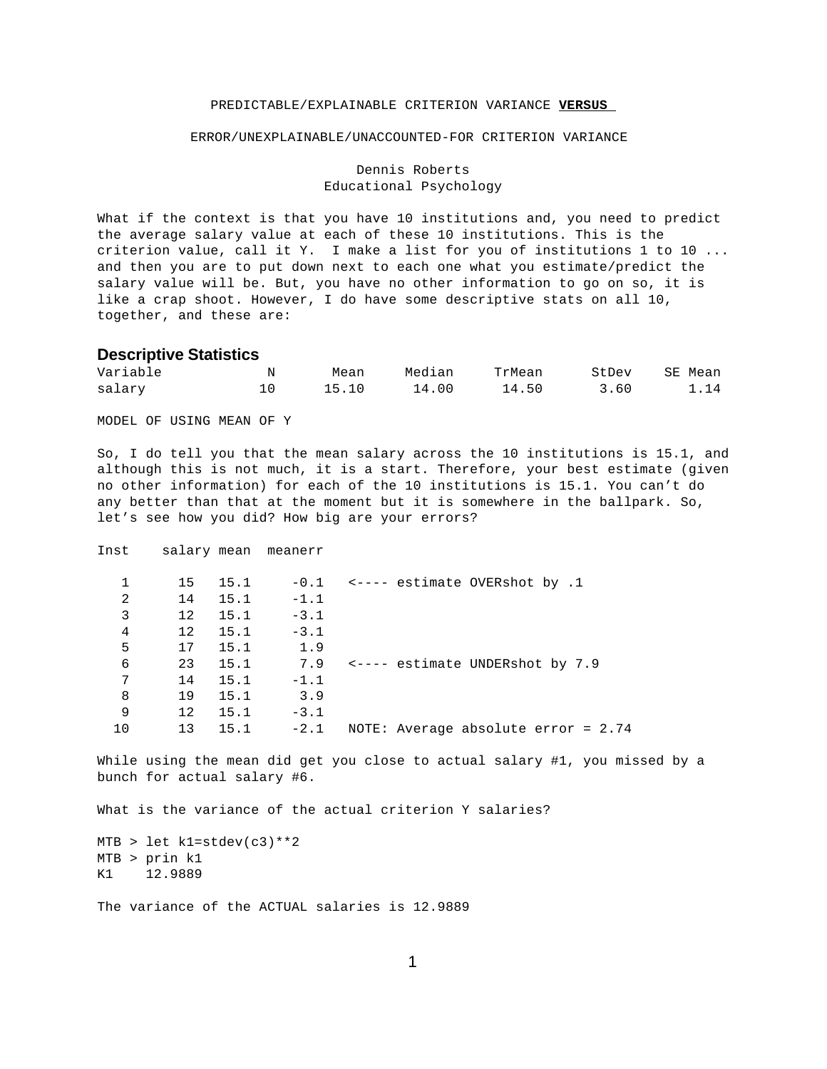## PREDICTABLE/EXPLAINABLE CRITERION VARIANCE **VERSUS**

#### ERROR/UNEXPLAINABLE/UNACCOUNTED-FOR CRITERION VARIANCE

Dennis Roberts Educational Psychology

What if the context is that you have 10 institutions and, you need to predict the average salary value at each of these 10 institutions. This is the criterion value, call it Y. I make a list for you of institutions 1 to 10 ... and then you are to put down next to each one what you estimate/predict the salary value will be. But, you have no other information to go on so, it is like a crap shoot. However, I do have some descriptive stats on all 10, together, and these are:

# **Descriptive Statistics**

| Variable | Mean     | Median | TrMean | StDev | SE Mean |
|----------|----------|--------|--------|-------|---------|
| salary   | 10 15.10 | 14.00  | 14.50  | 3.60  | 1.14    |

MODEL OF USING MEAN OF Y

So, I do tell you that the mean salary across the 10 institutions is 15.1, and although this is not much, it is a start. Therefore, your best estimate (given no other information) for each of the 10 institutions is 15.1. You can't do any better than that at the moment but it is somewhere in the ballpark. So, let's see how you did? How big are your errors?

Inst salary mean meanerr

|    | 15 | 15.1 |        | $-0.1$ <---- estimate OVERshot by .1        |
|----|----|------|--------|---------------------------------------------|
| 2  | 14 | 15.1 | $-1.1$ |                                             |
| 3  | 12 | 15.1 | $-3.1$ |                                             |
| 4  | 12 | 15.1 | $-3.1$ |                                             |
| 5  | 17 | 15.1 | 1.9    |                                             |
| 6  | 23 | 15.1 | 7.9    | $\leftarrow$ ---- estimate UNDERshot by 7.9 |
| 7  | 14 | 15.1 | $-1.1$ |                                             |
| 8  | 19 | 15.1 | 3.9    |                                             |
| 9  | 12 | 15.1 | $-3.1$ |                                             |
| 10 | 13 | 15.1 | $-2.1$ | NOTE: Average absolute error = 2.74         |
|    |    |      |        |                                             |

While using the mean did get you close to actual salary #1, you missed by a bunch for actual salary #6.

What is the variance of the actual criterion Y salaries?

 $MTB >$  let k1=stdev(c3) \*\*2 MTB > prin k1 K1 12.9889

The variance of the ACTUAL salaries is 12.9889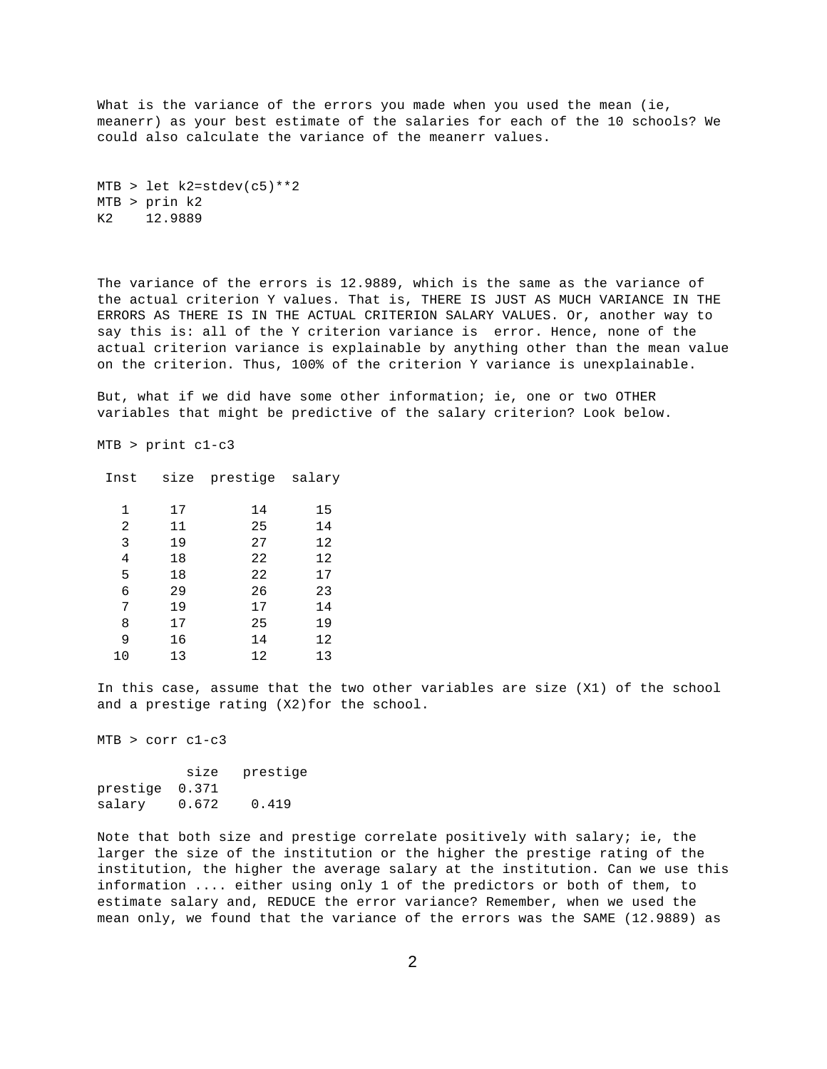What is the variance of the errors you made when you used the mean (ie, meanerr) as your best estimate of the salaries for each of the 10 schools? We could also calculate the variance of the meanerr values.

```
MTB > let k2=stdev(c5)**2
MTB > prin k2
K2 12.9889
```
The variance of the errors is 12.9889, which is the same as the variance of the actual criterion Y values. That is, THERE IS JUST AS MUCH VARIANCE IN THE ERRORS AS THERE IS IN THE ACTUAL CRITERION SALARY VALUES. Or, another way to say this is: all of the Y criterion variance is error. Hence, none of the actual criterion variance is explainable by anything other than the mean value on the criterion. Thus, 100% of the criterion Y variance is unexplainable.

But, what if we did have some other information; ie, one or two OTHER variables that might be predictive of the salary criterion? Look below.

MTB > print c1-c3

| 1  | 17 | 14 | 15 |
|----|----|----|----|
| 2  | 11 | 25 | 14 |
| 3  | 19 | 27 | 12 |
| 4  | 18 | 22 | 12 |
| 5  | 18 | 22 | 17 |
| 6  | 29 | 26 | 23 |
| 7  | 19 | 17 | 14 |
| 8  | 17 | 25 | 19 |
| 9  | 16 | 14 | 12 |
| 10 | 13 | 12 | 13 |

Inst size prestige salary

In this case, assume that the two other variables are size (X1) of the school and a prestige rating (X2)for the school.

MTB > corr c1-c3

|                | size  | prestige |
|----------------|-------|----------|
| prestige 0.371 |       |          |
| salary         | 0.672 | 0.419    |

Note that both size and prestige correlate positively with salary; ie, the larger the size of the institution or the higher the prestige rating of the institution, the higher the average salary at the institution. Can we use this information .... either using only 1 of the predictors or both of them, to estimate salary and, REDUCE the error variance? Remember, when we used the mean only, we found that the variance of the errors was the SAME (12.9889) as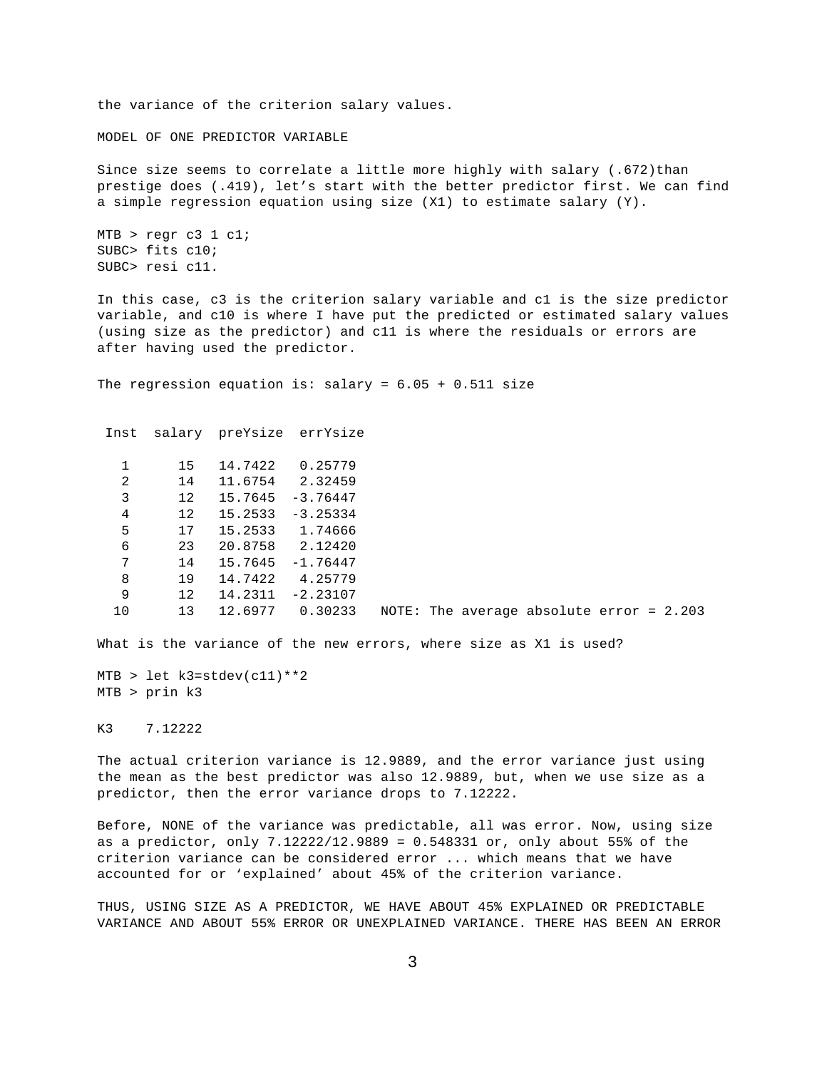the variance of the criterion salary values.

MODEL OF ONE PREDICTOR VARIABLE

Since size seems to correlate a little more highly with salary (.672)than prestige does (.419), let's start with the better predictor first. We can find a simple regression equation using size (X1) to estimate salary (Y).

```
MTB > regr c3 1 c1;
SUBC> fits c10;
SUBC> resi c11.
```
In this case, c3 is the criterion salary variable and c1 is the size predictor variable, and c10 is where I have put the predicted or estimated salary values (using size as the predictor) and c11 is where the residuals or errors are after having used the predictor.

The regression equation is: salary =  $6.05 + 0.511$  size

```
 Inst salary preYsize errYsize
  1 15 14.7422 0.25779
```

|    | ⊥ລ | エキ・ノキムム | 0.4377              |  |                                            |  |  |
|----|----|---------|---------------------|--|--------------------------------------------|--|--|
| 2  | 14 | 11.6754 | 2.32459             |  |                                            |  |  |
| 3  | 12 |         | $15.7645 - 3.76447$ |  |                                            |  |  |
| 4  | 12 | 15.2533 | $-3.25334$          |  |                                            |  |  |
| 5  | 17 | 15.2533 | 1.74666             |  |                                            |  |  |
| 6  | 23 |         | 20.8758 2.12420     |  |                                            |  |  |
| 7  | 14 |         | $15.7645 - 1.76447$ |  |                                            |  |  |
| 8  | 19 | 14.7422 | 4.25779             |  |                                            |  |  |
| 9  | 12 | 14.2311 | $-2.23107$          |  |                                            |  |  |
| 10 | 13 | 12.6977 | 0.30233             |  | NOTE: The average absolute error = $2.203$ |  |  |

What is the variance of the new errors, where size as X1 is used?

MTB > let k3=stdev(c11)\*\*2 MTB > prin k3

K3 7.12222

The actual criterion variance is 12.9889, and the error variance just using the mean as the best predictor was also 12.9889, but, when we use size as a predictor, then the error variance drops to 7.12222.

Before, NONE of the variance was predictable, all was error. Now, using size as a predictor, only 7.12222/12.9889 = 0.548331 or, only about 55% of the criterion variance can be considered error ... which means that we have accounted for or 'explained' about 45% of the criterion variance.

THUS, USING SIZE AS A PREDICTOR, WE HAVE ABOUT 45% EXPLAINED OR PREDICTABLE VARIANCE AND ABOUT 55% ERROR OR UNEXPLAINED VARIANCE. THERE HAS BEEN AN ERROR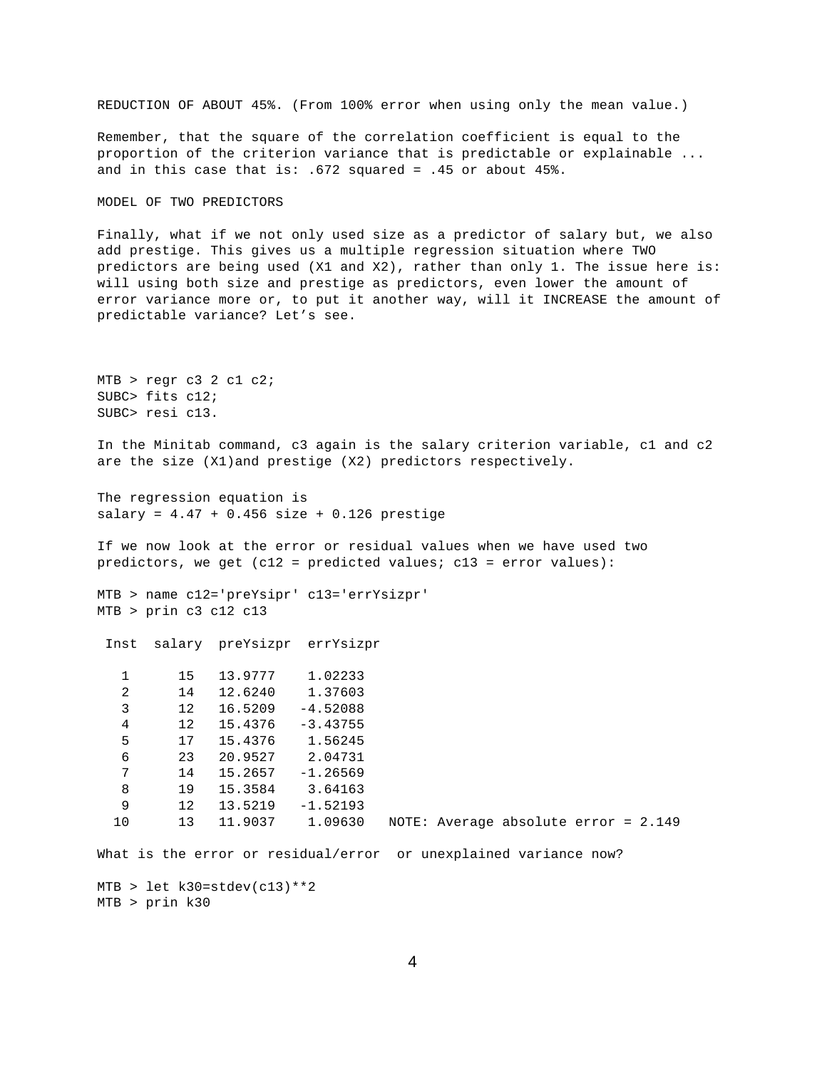REDUCTION OF ABOUT 45%. (From 100% error when using only the mean value.)

Remember, that the square of the correlation coefficient is equal to the proportion of the criterion variance that is predictable or explainable ... and in this case that is: .672 squared = .45 or about  $45$ %.

MODEL OF TWO PREDICTORS

Finally, what if we not only used size as a predictor of salary but, we also add prestige. This gives us a multiple regression situation where TWO predictors are being used (X1 and X2), rather than only 1. The issue here is: will using both size and prestige as predictors, even lower the amount of error variance more or, to put it another way, will it INCREASE the amount of predictable variance? Let's see.

```
MTB > regr c3 2 c1 c2;
SUBC> fits c12;
SUBC> resi c13.
```
In the Minitab command, c3 again is the salary criterion variable, c1 and c2 are the size (X1)and prestige (X2) predictors respectively.

The regression equation is  $salary = 4.47 + 0.456 size + 0.126 precise$ 

If we now look at the error or residual values when we have used two predictors, we get (c12 = predicted values; c13 = error values):

MTB > name c12='preYsipr' c13='errYsizpr' MTB > prin c3 c12 c13

Inst salary preYsizpr errYsizpr

| 1  | 15 | 13.9777 | 1.02233    |
|----|----|---------|------------|
| 2  | 14 | 12.6240 | 1.37603    |
| 3  | 12 | 16.5209 | $-4.52088$ |
| 4  | 12 | 15.4376 | $-3.43755$ |
| 5  | 17 | 15.4376 | 1.56245    |
| 6  | 23 | 20.9527 | 2.04731    |
| 7  | 14 | 15.2657 | $-1.26569$ |
| 8  | 19 | 15.3584 | 3.64163    |
| 9  | 12 | 13.5219 | $-1.52193$ |
| 10 | 13 | 11.9037 | 1.09630    |
|    |    |         |            |

10 13 11.9037 1.09630 NOTE: Average absolute error = 2.149

What is the error or residual/error or unexplained variance now?

 $MTB >$  let  $k30=stdev(cl3)**2$ MTB > prin k30